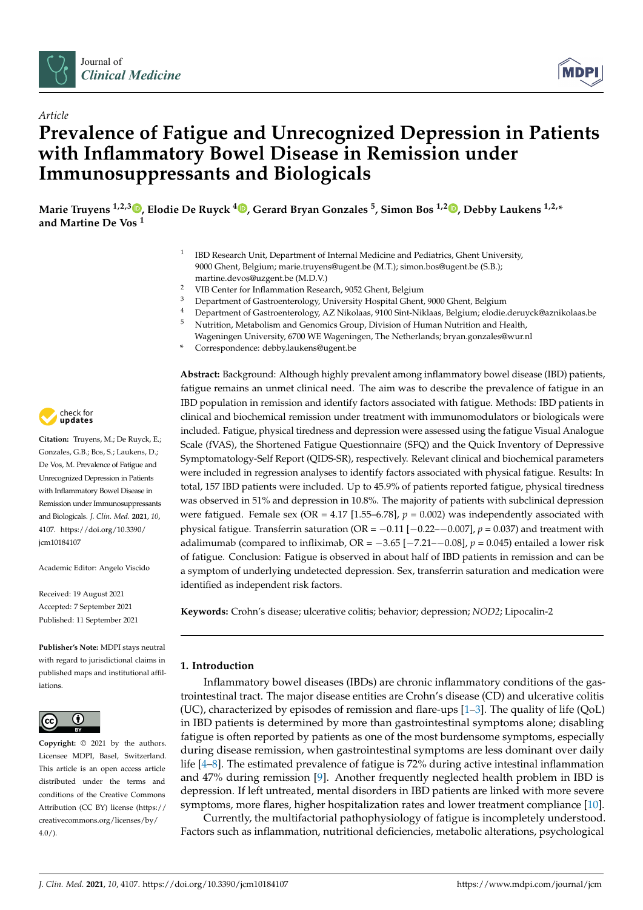



# *Article* **Prevalence of Fatigue and Unrecognized Depression in Patients with Inflammatory Bowel Disease in Remission under Immunosuppressants and Biologicals**

**Marie Truyens 1,2,3 [,](https://orcid.org/0000-0002-1264-4319) Elodie De Ruyck <sup>4</sup> [,](https://orcid.org/0000-0003-3783-5864) Gerard Bryan Gonzales <sup>5</sup> , Simon Bos 1,2 [,](https://orcid.org/0000-0003-1807-0202) Debby Laukens 1,2,\* and Martine De Vos <sup>1</sup>**

- 1 IBD Research Unit, Department of Internal Medicine and Pediatrics, Ghent University, 9000 Ghent, Belgium; marie.truyens@ugent.be (M.T.); simon.bos@ugent.be (S.B.); martine.devos@uzgent.be (M.D.V.)
- <sup>2</sup> VIB Center for Inflammation Research, 9052 Ghent, Belgium
- <sup>3</sup> Department of Gastroenterology, University Hospital Ghent, 9000 Ghent, Belgium<br><sup>4</sup> Department of Gastroenterology, AZ Nikolaes, 9100 Girt Niklass, Belgium; eledia
- 4 Department of Gastroenterology, AZ Nikolaas, 9100 Sint-Niklaas, Belgium; elodie.deruyck@aznikolaas.be<br>5 Nutrition Motobolism and Conomics Croup, Division of Human Nutrition and Hoalth
- <sup>5</sup> Nutrition, Metabolism and Genomics Group, Division of Human Nutrition and Health, Wageningen University, 6700 WE Wageningen, The Netherlands; bryan.gonzales@wur.nl
- **\*** Correspondence: debby.laukens@ugent.be

**Abstract:** Background: Although highly prevalent among inflammatory bowel disease (IBD) patients, fatigue remains an unmet clinical need. The aim was to describe the prevalence of fatigue in an IBD population in remission and identify factors associated with fatigue. Methods: IBD patients in clinical and biochemical remission under treatment with immunomodulators or biologicals were included. Fatigue, physical tiredness and depression were assessed using the fatigue Visual Analogue Scale (fVAS), the Shortened Fatigue Questionnaire (SFQ) and the Quick Inventory of Depressive Symptomatology-Self Report (QIDS-SR), respectively. Relevant clinical and biochemical parameters were included in regression analyses to identify factors associated with physical fatigue. Results: In total, 157 IBD patients were included. Up to 45.9% of patients reported fatigue, physical tiredness was observed in 51% and depression in 10.8%. The majority of patients with subclinical depression were fatigued. Female sex (OR =  $4.17$  [1.55–6.78],  $p = 0.002$ ) was independently associated with physical fatigue. Transferrin saturation ( $OR = -0.11$  [ $-0.22$ – $-0.007$ ],  $p = 0.037$ ) and treatment with adalimumab (compared to infliximab,  $OR = -3.65$  [ $-7.21$ - $-0.08$ ],  $p = 0.045$ ) entailed a lower risk of fatigue. Conclusion: Fatigue is observed in about half of IBD patients in remission and can be a symptom of underlying undetected depression. Sex, transferrin saturation and medication were identified as independent risk factors.

**Keywords:** Crohn's disease; ulcerative colitis; behavior; depression; *NOD2*; Lipocalin-2

# **1. Introduction**

Inflammatory bowel diseases (IBDs) are chronic inflammatory conditions of the gastrointestinal tract. The major disease entities are Crohn's disease (CD) and ulcerative colitis (UC), characterized by episodes of remission and flare-ups  $[1-3]$  $[1-3]$ . The quality of life (QoL) in IBD patients is determined by more than gastrointestinal symptoms alone; disabling fatigue is often reported by patients as one of the most burdensome symptoms, especially during disease remission, when gastrointestinal symptoms are less dominant over daily life [\[4–](#page-7-2)[8\]](#page-7-3). The estimated prevalence of fatigue is 72% during active intestinal inflammation and 47% during remission [\[9\]](#page-7-4). Another frequently neglected health problem in IBD is depression. If left untreated, mental disorders in IBD patients are linked with more severe symptoms, more flares, higher hospitalization rates and lower treatment compliance [\[10\]](#page-7-5).

Currently, the multifactorial pathophysiology of fatigue is incompletely understood. Factors such as inflammation, nutritional deficiencies, metabolic alterations, psychological



**Citation:** Truyens, M.; De Ruyck, E.; Gonzales, G.B.; Bos, S.; Laukens, D.; De Vos, M. Prevalence of Fatigue and Unrecognized Depression in Patients with Inflammatory Bowel Disease in Remission under Immunosuppressants and Biologicals. *J. Clin. Med.* **2021**, *10*, 4107. [https://doi.org/10.3390/](https://doi.org/10.3390/jcm10184107) [jcm10184107](https://doi.org/10.3390/jcm10184107)

Academic Editor: Angelo Viscido

Received: 19 August 2021 Accepted: 7 September 2021 Published: 11 September 2021

**Publisher's Note:** MDPI stays neutral with regard to jurisdictional claims in published maps and institutional affiliations.



**Copyright:** © 2021 by the authors. Licensee MDPI, Basel, Switzerland. This article is an open access article distributed under the terms and conditions of the Creative Commons Attribution (CC BY) license (https:/[/](https://creativecommons.org/licenses/by/4.0/) [creativecommons.org/licenses/by/](https://creativecommons.org/licenses/by/4.0/)  $4.0/$ ).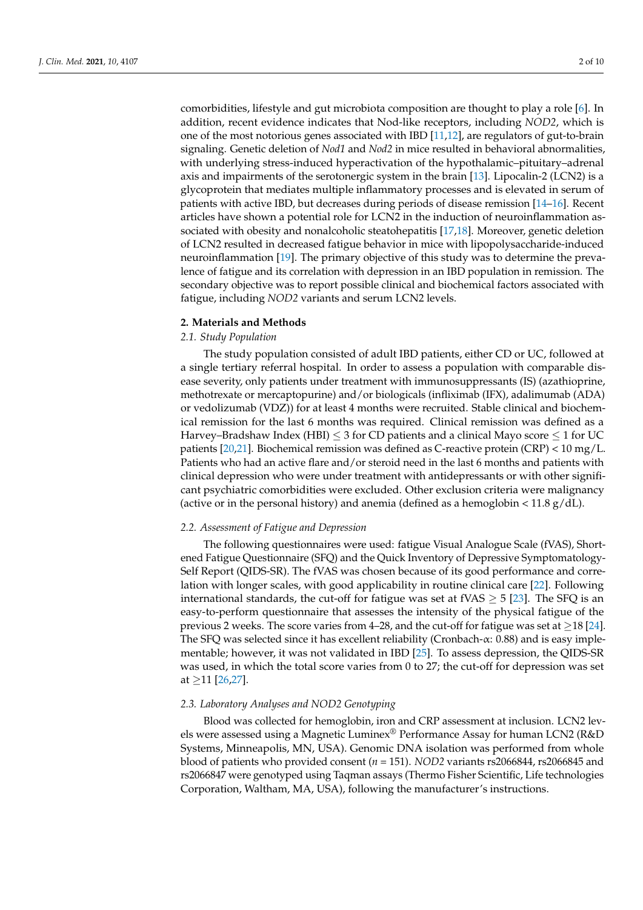comorbidities, lifestyle and gut microbiota composition are thought to play a role [\[6\]](#page-7-6). In addition, recent evidence indicates that Nod-like receptors, including *NOD2*, which is one of the most notorious genes associated with IBD [\[11](#page-7-7)[,12\]](#page-7-8), are regulators of gut-to-brain signaling. Genetic deletion of *Nod1* and *Nod2* in mice resulted in behavioral abnormalities, with underlying stress-induced hyperactivation of the hypothalamic–pituitary–adrenal axis and impairments of the serotonergic system in the brain [\[13\]](#page-7-9). Lipocalin-2 (LCN2) is a glycoprotein that mediates multiple inflammatory processes and is elevated in serum of patients with active IBD, but decreases during periods of disease remission [\[14–](#page-8-0)[16\]](#page-8-1). Recent articles have shown a potential role for LCN2 in the induction of neuroinflammation associated with obesity and nonalcoholic steatohepatitis [\[17,](#page-8-2)[18\]](#page-8-3). Moreover, genetic deletion of LCN2 resulted in decreased fatigue behavior in mice with lipopolysaccharide-induced neuroinflammation [\[19\]](#page-8-4). The primary objective of this study was to determine the prevalence of fatigue and its correlation with depression in an IBD population in remission. The secondary objective was to report possible clinical and biochemical factors associated with fatigue, including *NOD2* variants and serum LCN2 levels.

## **2. Materials and Methods**

# *2.1. Study Population*

The study population consisted of adult IBD patients, either CD or UC, followed at a single tertiary referral hospital. In order to assess a population with comparable disease severity, only patients under treatment with immunosuppressants (IS) (azathioprine, methotrexate or mercaptopurine) and/or biologicals (infliximab (IFX), adalimumab (ADA) or vedolizumab (VDZ)) for at least 4 months were recruited. Stable clinical and biochemical remission for the last 6 months was required. Clinical remission was defined as a Harvey–Bradshaw Index (HBI)  $\leq$  3 for CD patients and a clinical Mayo score  $\leq$  1 for UC patients [\[20](#page-8-5)[,21\]](#page-8-6). Biochemical remission was defined as C-reactive protein (CRP) <  $10 \text{ mg/L}$ . Patients who had an active flare and/or steroid need in the last 6 months and patients with clinical depression who were under treatment with antidepressants or with other significant psychiatric comorbidities were excluded. Other exclusion criteria were malignancy (active or in the personal history) and anemia (defined as a hemoglobin  $\langle 11.8 \text{ g}/\text{dL} \rangle$ .

#### *2.2. Assessment of Fatigue and Depression*

The following questionnaires were used: fatigue Visual Analogue Scale (fVAS), Shortened Fatigue Questionnaire (SFQ) and the Quick Inventory of Depressive Symptomatology-Self Report (QIDS-SR). The fVAS was chosen because of its good performance and correlation with longer scales, with good applicability in routine clinical care [\[22\]](#page-8-7). Following international standards, the cut-off for fatigue was set at fVAS  $\geq$  5 [\[23\]](#page-8-8). The SFQ is an easy-to-perform questionnaire that assesses the intensity of the physical fatigue of the previous 2 weeks. The score varies from 4–28, and the cut-off for fatigue was set at  $\geq$ 18 [\[24\]](#page-8-9). The SFQ was selected since it has excellent reliability (Cronbach-α: 0.88) and is easy implementable; however, it was not validated in IBD [\[25\]](#page-8-10). To assess depression, the QIDS-SR was used, in which the total score varies from 0 to 27; the cut-off for depression was set at  $\geq$ 11 [\[26,](#page-8-11)[27\]](#page-8-12).

## *2.3. Laboratory Analyses and NOD2 Genotyping*

Blood was collected for hemoglobin, iron and CRP assessment at inclusion. LCN2 levels were assessed using a Magnetic Luminex® Performance Assay for human LCN2 (R&D Systems, Minneapolis, MN, USA). Genomic DNA isolation was performed from whole blood of patients who provided consent (*n* = 151). *NOD2* variants rs2066844, rs2066845 and rs2066847 were genotyped using Taqman assays (Thermo Fisher Scientific, Life technologies Corporation, Waltham, MA, USA), following the manufacturer's instructions.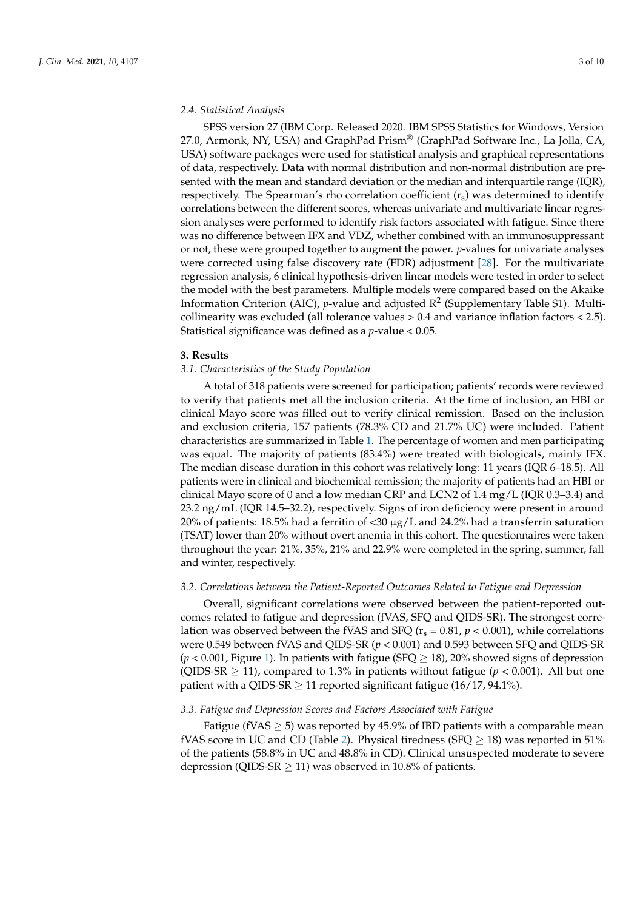## *2.4. Statistical Analysis*

SPSS version 27 (IBM Corp. Released 2020. IBM SPSS Statistics for Windows, Version 27.0, Armonk, NY, USA) and GraphPad Prism® (GraphPad Software Inc., La Jolla, CA, USA) software packages were used for statistical analysis and graphical representations of data, respectively. Data with normal distribution and non-normal distribution are presented with the mean and standard deviation or the median and interquartile range (IQR), respectively. The Spearman's rho correlation coefficient  $(r_s)$  was determined to identify correlations between the different scores, whereas univariate and multivariate linear regression analyses were performed to identify risk factors associated with fatigue. Since there was no difference between IFX and VDZ, whether combined with an immunosuppressant or not, these were grouped together to augment the power. *p*-values for univariate analyses were corrected using false discovery rate (FDR) adjustment [\[28\]](#page-8-13). For the multivariate regression analysis, 6 clinical hypothesis-driven linear models were tested in order to select the model with the best parameters. Multiple models were compared based on the Akaike Information Criterion (AIC), *p*-value and adjusted  $R^2$  (Supplementary Table S1). Multicollinearity was excluded (all tolerance values > 0.4 and variance inflation factors < 2.5). Statistical significance was defined as a *p*-value < 0.05.

#### **3. Results**

#### *3.1. Characteristics of the Study Population*

A total of 318 patients were screened for participation; patients' records were reviewed to verify that patients met all the inclusion criteria. At the time of inclusion, an HBI or clinical Mayo score was filled out to verify clinical remission. Based on the inclusion and exclusion criteria, 157 patients (78.3% CD and 21.7% UC) were included. Patient characteristics are summarized in Table [1.](#page-3-0) The percentage of women and men participating was equal. The majority of patients (83.4%) were treated with biologicals, mainly IFX. The median disease duration in this cohort was relatively long: 11 years (IQR 6–18.5). All patients were in clinical and biochemical remission; the majority of patients had an HBI or clinical Mayo score of 0 and a low median CRP and LCN2 of 1.4 mg/L (IQR 0.3–3.4) and 23.2 ng/mL (IQR 14.5–32.2), respectively. Signs of iron deficiency were present in around 20% of patients: 18.5% had a ferritin of <30  $\mu$ g/L and 24.2% had a transferrin saturation (TSAT) lower than 20% without overt anemia in this cohort. The questionnaires were taken throughout the year: 21%, 35%, 21% and 22.9% were completed in the spring, summer, fall and winter, respectively.

#### *3.2. Correlations between the Patient-Reported Outcomes Related to Fatigue and Depression*

Overall, significant correlations were observed between the patient-reported outcomes related to fatigue and depression (fVAS, SFQ and QIDS-SR). The strongest correlation was observed between the fVAS and SFQ ( $r_s = 0.81$ ,  $p < 0.001$ ), while correlations were 0.549 between fVAS and QIDS-SR (*p* < 0.001) and 0.593 between SFQ and QIDS-SR  $(p < 0.001$ , Figure [1\)](#page-4-0). In patients with fatigue (SFQ  $> 18$ ), 20% showed signs of depression (QIDS-SR  $\geq$  11), compared to 1.3% in patients without fatigue ( $p < 0.001$ ). All but one patient with a QIDS-SR  $\geq$  11 reported significant fatigue (16/17, 94.1%).

## *3.3. Fatigue and Depression Scores and Factors Associated with Fatigue*

Fatigue (fVAS  $\geq$  5) was reported by 45.9% of IBD patients with a comparable mean fVAS score in UC and CD (Table [2\)](#page-4-1). Physical tiredness (SFQ  $>$  18) was reported in 51% of the patients (58.8% in UC and 48.8% in CD). Clinical unsuspected moderate to severe depression (QIDS-SR  $\geq$  11) was observed in 10.8% of patients.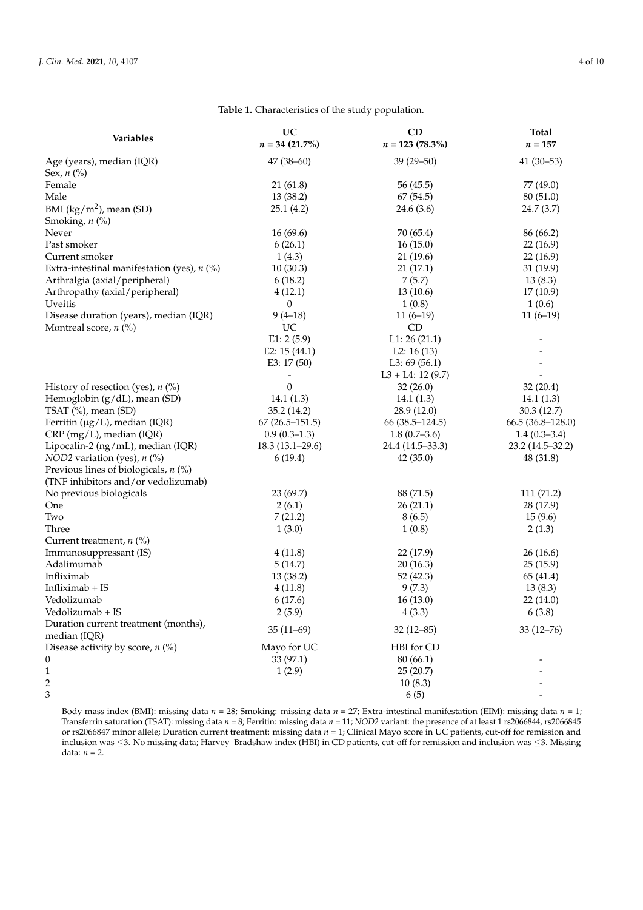<span id="page-3-0"></span>

| Variables                                     | UC                  | CD                   | <b>Total</b>       |
|-----------------------------------------------|---------------------|----------------------|--------------------|
|                                               | $n = 34 (21.7\%)$   | $n = 123 (78.3\%)$   | $n = 157$          |
| Age (years), median (IQR)                     | $47(38 - 60)$       | 39 (29-50)           | $41(30-53)$        |
| Sex, $n$ (%)                                  |                     |                      |                    |
| Female                                        | 21(61.8)            | 56 (45.5)            | 77 (49.0)          |
| Male                                          | 13 (38.2)           | 67 (54.5)            | 80 (51.0)          |
| BMI $(kg/m2)$ , mean (SD)                     | 25.1(4.2)           | 24.6(3.6)            | 24.7(3.7)          |
| Smoking, $n$ (%)                              |                     |                      |                    |
| Never                                         | 16(69.6)            | 70 (65.4)            | 86 (66.2)          |
| Past smoker                                   | 6(26.1)             | 16(15.0)             | 22(16.9)           |
| Current smoker                                | 1(4.3)              | 21(19.6)             | 22 (16.9)          |
| Extra-intestinal manifestation (yes), $n$ (%) | 10(30.3)            | 21(17.1)             | 31 (19.9)          |
| Arthralgia (axial/peripheral)                 | 6(18.2)             | 7(5.7)               | 13(8.3)            |
| Arthropathy (axial/peripheral)                | 4(12.1)             | 13(10.6)             | 17(10.9)           |
| Uveitis                                       | 0                   | 1(0.8)               | 1(0.6)             |
| Disease duration (years), median (IQR)        | $9(4-18)$           | $11(6-19)$           | $11(6-19)$         |
| Montreal score, $n$ (%)                       | UC                  | CD                   |                    |
|                                               | E1: 2(5.9)          | L1: 26(21.1)         |                    |
|                                               | E2: $15(44.1)$      | L2: $16(13)$         |                    |
|                                               | E3: 17 (50)         | L3: $69(56.1)$       |                    |
|                                               |                     | $L3 + L4$ : 12 (9.7) |                    |
| History of resection (yes), $n$ (%)           | $\boldsymbol{0}$    | 32(26.0)             | 32(20.4)           |
| Hemoglobin (g/dL), mean (SD)                  | 14.1(1.3)           | 14.1(1.3)            | 14.1(1.3)          |
| TSAT (%), mean (SD)                           | 35.2 (14.2)         | 28.9 (12.0)          | 30.3(12.7)         |
| Ferritin ( $\mu$ g/L), median (IQR)           | $67(26.5-151.5)$    | $66(38.5-124.5)$     | $66.5(36.8-128.0)$ |
| CRP (mg/L), median (IQR)                      | $0.9(0.3-1.3)$      | $1.8(0.7-3.6)$       | $1.4(0.3 - 3.4)$   |
| Lipocalin-2 (ng/mL), median (IQR)             | $18.3(13.1 - 29.6)$ | 24.4 (14.5-33.3)     | 23.2 (14.5-32.2)   |
| NOD2 variation (yes), $n$ (%)                 | 6(19.4)             | 42(35.0)             | 48 (31.8)          |
| Previous lines of biologicals, $n$ (%)        |                     |                      |                    |
| (TNF inhibitors and/or vedolizumab)           |                     |                      |                    |
| No previous biologicals                       | 23 (69.7)           | 88 (71.5)            | 111 (71.2)         |
| One                                           | 2(6.1)              | 26(21.1)             | 28 (17.9)          |
| Two                                           | 7(21.2)             | 8(6.5)               | 15(9.6)            |
| Three                                         | 1(3.0)              | 1(0.8)               | 2(1.3)             |
| Current treatment, $n$ (%)                    |                     |                      |                    |
| Immunosuppressant (IS)                        | 4(11.8)             | 22 (17.9)            | 26(16.6)           |
| Adalimumab                                    | 5(14.7)             | 20(16.3)             | 25(15.9)           |
| Infliximab                                    | 13 (38.2)           | 52(42.3)             | 65 (41.4)          |
| Infliximab + IS                               | 4(11.8)             | 9(7.3)               | 13(8.3)            |
| Vedolizumab                                   | 6(17.6)             | 16(13.0)             | 22 (14.0)          |
| Vedolizumab + IS                              | 2(5.9)              | 4(3.3)               | 6(3.8)             |
| Duration current treatment (months),          | $35(11-69)$         | $32(12 - 85)$        | $33(12 - 76)$      |
| median (IQR)                                  |                     |                      |                    |
| Disease activity by score, $n$ (%)            | Mayo for UC         | HBI for CD           |                    |
| $\boldsymbol{0}$                              | 33 (97.1)           | 80(66.1)             |                    |
| $\mathbf{1}$                                  | 1(2.9)              | 25(20.7)             |                    |
| 2                                             |                     | 10(8.3)              |                    |
| $\mathfrak{Z}$                                |                     | 6(5)                 |                    |

**Table 1.** Characteristics of the study population.

Body mass index (BMI): missing data *n* = 28; Smoking: missing data *n* = 27; Extra-intestinal manifestation (EIM): missing data *n* = 1; Transferrin saturation (TSAT): missing data *n* = 8; Ferritin: missing data *n* = 11; *NOD2* variant: the presence of at least 1 rs2066844, rs2066845 or rs2066847 minor allele; Duration current treatment: missing data *n* = 1; Clinical Mayo score in UC patients, cut-off for remission and inclusion was ≤3. No missing data; Harvey–Bradshaw index (HBI) in CD patients, cut-off for remission and inclusion was ≤3. Missing data:  $n = 2$ .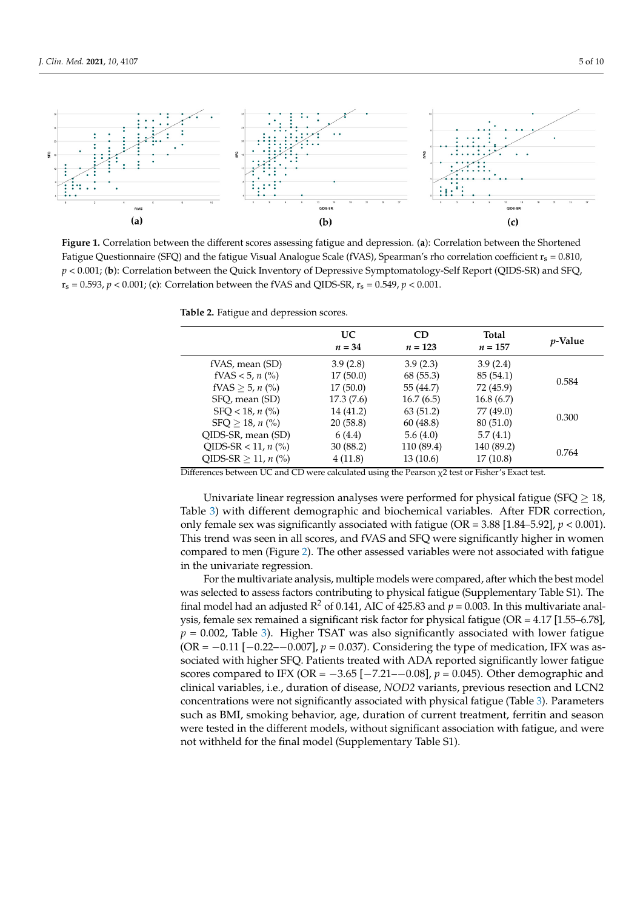<span id="page-4-0"></span>

**Figure 1.** Correlation between the different scores assessing fatigue and depression. (**a**): Correlation between the Shortened Fatigue Questionnaire (SFQ) and the fatigue Visual Analogue Scale (fVAS), Spearman's rho correlation coefficient r<sub>s</sub> = 0.810,  $p < 0.001$ ; (b): Correlation between the Quick Inventory of Depressive Symptomatology-Self Report (QIDS-SR) and SFQ,  $r_s = 0.593, p < 0.001$ ; (c): Correlation between the fVAS and QIDS-SR,  $r_s = 0.549, p < 0.001$ .

<span id="page-4-1"></span>**3.3. Fatigue and depression scores and Fatigue and Fatigue and Patigue and Fatigue and Scores Associates** 

|                                 | UC.<br>$n = 34$ | <b>CD</b><br>$n = 123$ | <b>Total</b><br>$n = 157$ | <i>p</i> -Value |
|---------------------------------|-----------------|------------------------|---------------------------|-----------------|
| fVAS, mean (SD)                 | 3.9(2.8)        | 3.9(2.3)               | 3.9(2.4)                  |                 |
| fVAS < 5, $n$ (%)               | 17(50.0)        | 68 (55.3)              | 85(54.1)                  | 0.584           |
| fVAS $\geq 5$ , n (%)           | 17(50.0)        | 55 (44.7)              | 72 (45.9)                 |                 |
| SFO, mean (SD)                  | 17.3(7.6)       | 16.7(6.5)              | 16.8(6.7)                 |                 |
| $SFO < 18$ , n $(\% )$          | 14 (41.2)       | 63(51.2)               | 77 (49.0)                 | 0.300           |
| $SFO > 18$ , n $\binom{0}{0}$   | 20(58.8)        | 60(48.8)               | 80 (51.0)                 |                 |
| OIDS-SR, mean (SD)              | 6(4.4)          | 5.6(4.0)               | 5.7(4.1)                  |                 |
| QIDS-SR < 11, $n$ (%)           | 30(88.2)        | 110 (89.4)             | 140 (89.2)                |                 |
| QIDS-SR $\geq$ 11, <i>n</i> (%) | 4(11.8)         | 13(10.6)               | 17(10.8)                  | 0.764           |

SFQ, mean (SD) 17.3 (7.6) 17.3 (7.6) 17.3 (7.6) 17.3 (7.6) 17.3 (7.6) 17.3 (7.6) 17.3 (7.6) 17.4 (7.6) 17.4 (7.6) 17.4 (7.6) 17.4 (7.6) 17.4 (7.6) 17.4 (7.6) 17.4 (7.6) 17.5 (7.6) 17.5 (7.6) 17.5 (7.6) 17.5 (7.6) 17.5 (7.6

Univariate linear regression analyses were performed for physical fatigue (SFQ  $\geq$  18,  $\sigma$ Table [3\)](#page-5-0) with different demographic and biochemical variables. After FDR correction, only female sex was significantly associated with fatigue (OR =  $3.88$  [1.84– $5.92$ ],  $p < 0.001$ ). This trend was seen in all scores, and fVAS and SFQ were significantly higher in women not the was seen in an secret, and 1916 and 51 g were significantly rights in women<br>compared to men (Figure [2\)](#page-5-1). The other assessed variables were not associated with fatigue in the univariate regression.  $\mathbf{r}$ 

was selected to assess factors contributing to physical fatigue (Supplementary Table S1). The final model had an adjusted R<sup>2</sup> of 0.141, AIC of 425.83 and  $p$  = 0.003. In this multivariate analysis, female sex remained a significant risk factor for physical fatigue (OR = 4.17 [1.55–6.78],  $p$  = 0.002, Table 3). Higher TSAT was also significantly associated with lower fatigue (OR =  $-0.11$  [ $-0.22$ – $-0.007$ ],  $p = 0.037$ ). Considering the type of medication, IFX was associated with higher SFQ. Patients treated with ADA reported significantly lower fatigue scores compared to IFX (OR =  $-3.65$  [ $-7.21$ – $-0.08$ ],  $p = 0.045$ ). Other demographic and clinical variables, i.e., duration of disease, *NOD2* variants, previous resection and LCN2 concentrations were not significantly associated with physical fatigue (Table [3\)](#page-5-0). Parameters such as BMI, smoking behavior, age, duration of current treatment, ferritin and season were tested in the different models, without significant association with fatigue, and were not withheld for the final model (Supplementary Table S1). For the multivariate analysis, multiple models were compared, after which the best model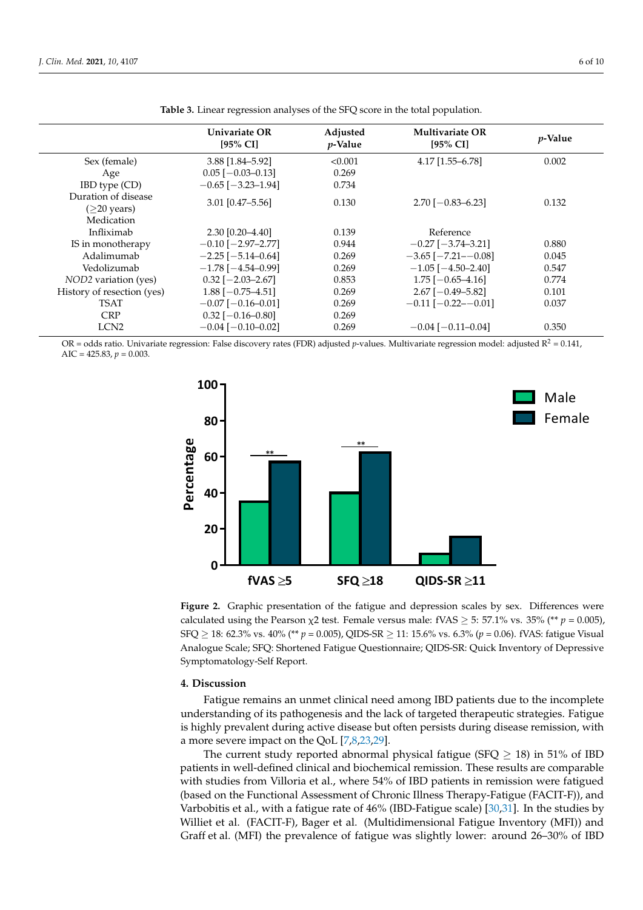<span id="page-5-0"></span>

|                                                  | Univariate OR<br>$[95\%$ CI] | Adjusted<br><i>p</i> -Value | <b>Multivariate OR</b><br>$[95\%$ CI] | <i>p</i> -Value |
|--------------------------------------------------|------------------------------|-----------------------------|---------------------------------------|-----------------|
| Sex (female)                                     | 3.88 [1.84-5.92]             | < 0.001                     | 4.17 [1.55-6.78]                      | 0.002           |
| Age                                              | $0.05$ [ $-0.03 - 0.13$ ]    | 0.269                       |                                       |                 |
| IBD type (CD)                                    | $-0.65$ [ $-3.23-1.94$ ]     | 0.734                       |                                       |                 |
| Duration of disease<br>$(\geq 20 \text{ years})$ | 3.01 [0.47-5.56]             | 0.130                       | $2.70[-0.83 - 6.23]$                  | 0.132           |
| Medication                                       |                              |                             |                                       |                 |
| Infliximab                                       | 2.30 [0.20-4.40]             | 0.139                       | Reference                             |                 |
| IS in monotherapy                                | $-0.10$ [ $-2.97-2.77$ ]     | 0.944                       | $-0.27$ [ $-3.74-3.21$ ]              | 0.880           |
| Adalimumab                                       | $-2.25$ [ $-5.14 - 0.64$ ]   | 0.269                       | $-3.65$ [ $-7.21$ - $-0.08$ ]         | 0.045           |
| Vedolizumab                                      | $-1.78$ [ $-4.54-0.99$ ]     | 0.269                       | $-1.05$ [ $-4.50-2.40$ ]              | 0.547           |
| NOD2 variation (yes)                             | $0.32$ [-2.03-2.67]          | 0.853                       | $1.75$ [-0.65-4.16]                   | 0.774           |
| History of resection (yes)                       | $1.88$ [-0.75-4.51]          | 0.269                       | $2.67$ [-0.49-5.82]                   | 0.101           |
| TSAT                                             | $-0.07$ [ $-0.16 - 0.01$ ]   | 0.269                       | $-0.11$ [ $-0.22$ - $-0.01$ ]         | 0.037           |
| <b>CRP</b>                                       | $0.32$ [-0.16-0.80]          | 0.269                       |                                       |                 |
| LCN <sub>2</sub>                                 | $-0.04$ [ $-0.10$ $-0.02$ ]  | 0.269                       | $-0.04$ [ $-0.11$ $-0.04$ ]           | 0.350           |
|                                                  |                              |                             |                                       |                 |

**Table 3.** Linear regression analyses of the SFQ score in the total population.

OR = odds ratio. Univariate regression: False discovery rates (FDR) adjusted p-values. Multivariate regression model: adjusted  $R^2$  = 0.141, AIC =  $425.83, p = 0.003$ .

<span id="page-5-1"></span>

**Figure 2.** Graphic presentation of the fatigue and depression scales by sex. Differences were calculated using the Pearson  $\chi$ 2 test. Female versus male: fVAS  $\geq$  5: 57.1% vs. 35% (\*\* *p* = 0.005), SFQ  $\geq$  18: 62.3% vs. 40% (\*\*  $p = 0.005$ ), QIDS-SR  $\geq$  11: 15.6% vs. 6.3% ( $p = 0.06$ ). fVAS: fatigue Visual  $6.2 \times 10.025 \times 9.35 \times 10^{10}$  (*p = 0.005)*, QIDS-SR  $\geq$  11: 15.6% (*p* = 0.06). fVAS: fatigue Visual Analogue Scale; SFQ: Shortened Fatigue Questionnaire; QIDS-SR: Quick Inventory of Depressive<br>Contribution of Material matology-Self Report. Symptomatology-Self Report. Figure 2. Graphic presentation of the fatigue and depression scales by sex. Differences were

#### **4. Discussion**

Fatigue remains an unmet clinical need among IBD patients due to the incomplete understanding of its pathogenesis and the lack of targeted therapeutic strategies. Fatigue<br>in highly manual at deriver a time discording for a seriety deriver discoverencial angulation a more severe impact on the QoL [\[7](#page-7-10)[,8](#page-7-3)[,23](#page-8-8)[,29\]](#page-8-14). is highly prevalent during active disease but often persists during disease remission, with<br>a more sayere impact on the OoI [7,8,23,29]

The current study reported abnormal physical fatigue (SFQ  $\geq$  18) in 51% of IBD patients in well-defined clinical and biochemical remission. These results are comparable with studies from Villoria et al., where 54% of IBD patients in remission were fatigued (based on the Functional Assessment of Chronic Illness Therapy-Fatigue (FACIT-F)), and<br>Value of the fatigue of the factor (TDD Fatigue 1), 500,000 June 1, in the factor Varbobitis et al., with a fatigue rate of 46% (IBD-Fatigue scale) [30,31]. In the studies by<br>Williot et al. (EACIT E), Bagge et al. (Multidimensional Fatigue Inventory (MED) and Graff et al. (MFI) the prevalence of fatigue was slightly lower: around 26-30% of IBD Williet et al. (FACIT-F), Bager et al. (Multidimensional Fatigue Inventory (MFI)) and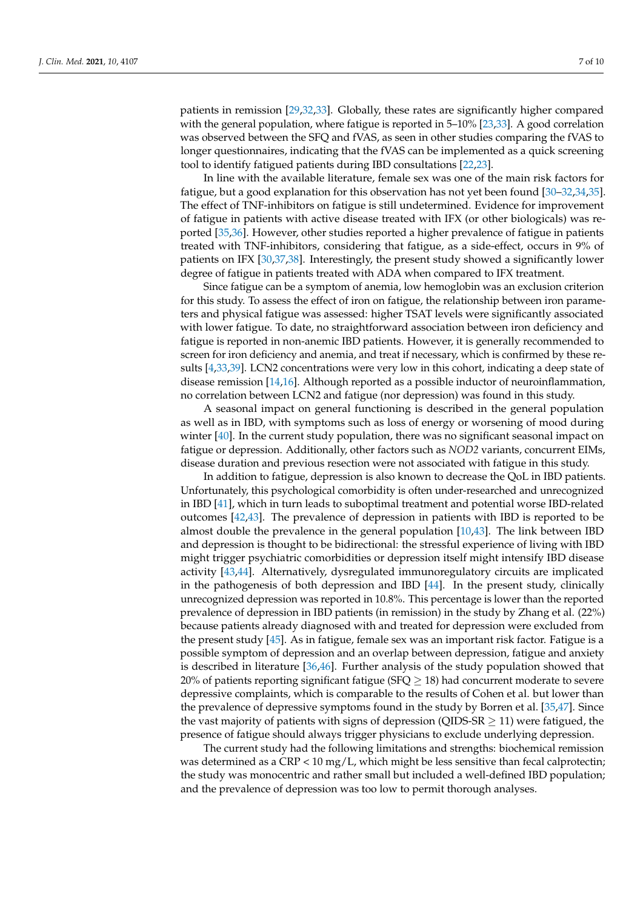patients in remission [\[29,](#page-8-14)[32,](#page-8-17)[33\]](#page-8-18). Globally, these rates are significantly higher compared with the general population, where fatigue is reported in 5–10% [\[23](#page-8-8)[,33\]](#page-8-18). A good correlation was observed between the SFQ and fVAS, as seen in other studies comparing the fVAS to longer questionnaires, indicating that the fVAS can be implemented as a quick screening tool to identify fatigued patients during IBD consultations [\[22](#page-8-7)[,23\]](#page-8-8).

In line with the available literature, female sex was one of the main risk factors for fatigue, but a good explanation for this observation has not yet been found [\[30](#page-8-15)[–32,](#page-8-17)[34,](#page-8-19)[35\]](#page-8-20). The effect of TNF-inhibitors on fatigue is still undetermined. Evidence for improvement of fatigue in patients with active disease treated with IFX (or other biologicals) was reported [\[35,](#page-8-20)[36\]](#page-9-0). However, other studies reported a higher prevalence of fatigue in patients treated with TNF-inhibitors, considering that fatigue, as a side-effect, occurs in 9% of patients on IFX [\[30](#page-8-15)[,37](#page-9-1)[,38\]](#page-9-2). Interestingly, the present study showed a significantly lower degree of fatigue in patients treated with ADA when compared to IFX treatment.

Since fatigue can be a symptom of anemia, low hemoglobin was an exclusion criterion for this study. To assess the effect of iron on fatigue, the relationship between iron parameters and physical fatigue was assessed: higher TSAT levels were significantly associated with lower fatigue. To date, no straightforward association between iron deficiency and fatigue is reported in non-anemic IBD patients. However, it is generally recommended to screen for iron deficiency and anemia, and treat if necessary, which is confirmed by these results [\[4,](#page-7-2)[33](#page-8-18)[,39\]](#page-9-3). LCN2 concentrations were very low in this cohort, indicating a deep state of disease remission [\[14](#page-8-0)[,16\]](#page-8-1). Although reported as a possible inductor of neuroinflammation, no correlation between LCN2 and fatigue (nor depression) was found in this study.

A seasonal impact on general functioning is described in the general population as well as in IBD, with symptoms such as loss of energy or worsening of mood during winter [\[40\]](#page-9-4). In the current study population, there was no significant seasonal impact on fatigue or depression. Additionally, other factors such as *NOD2* variants, concurrent EIMs, disease duration and previous resection were not associated with fatigue in this study.

In addition to fatigue, depression is also known to decrease the QoL in IBD patients. Unfortunately, this psychological comorbidity is often under-researched and unrecognized in IBD [\[41\]](#page-9-5), which in turn leads to suboptimal treatment and potential worse IBD-related outcomes [\[42,](#page-9-6)[43\]](#page-9-7). The prevalence of depression in patients with IBD is reported to be almost double the prevalence in the general population [\[10](#page-7-5)[,43\]](#page-9-7). The link between IBD and depression is thought to be bidirectional: the stressful experience of living with IBD might trigger psychiatric comorbidities or depression itself might intensify IBD disease activity [\[43,](#page-9-7)[44\]](#page-9-8). Alternatively, dysregulated immunoregulatory circuits are implicated in the pathogenesis of both depression and IBD [\[44\]](#page-9-8). In the present study, clinically unrecognized depression was reported in 10.8%. This percentage is lower than the reported prevalence of depression in IBD patients (in remission) in the study by Zhang et al. (22%) because patients already diagnosed with and treated for depression were excluded from the present study [\[45\]](#page-9-9). As in fatigue, female sex was an important risk factor. Fatigue is a possible symptom of depression and an overlap between depression, fatigue and anxiety is described in literature [\[36,](#page-9-0)[46\]](#page-9-10). Further analysis of the study population showed that 20% of patients reporting significant fatigue ( $SFO \geq 18$ ) had concurrent moderate to severe depressive complaints, which is comparable to the results of Cohen et al. but lower than the prevalence of depressive symptoms found in the study by Borren et al. [\[35](#page-8-20)[,47\]](#page-9-11). Since the vast majority of patients with signs of depression (QIDS-SR  $\geq$  11) were fatigued, the presence of fatigue should always trigger physicians to exclude underlying depression.

The current study had the following limitations and strengths: biochemical remission was determined as a CRP < 10 mg/L, which might be less sensitive than fecal calprotectin; the study was monocentric and rather small but included a well-defined IBD population; and the prevalence of depression was too low to permit thorough analyses.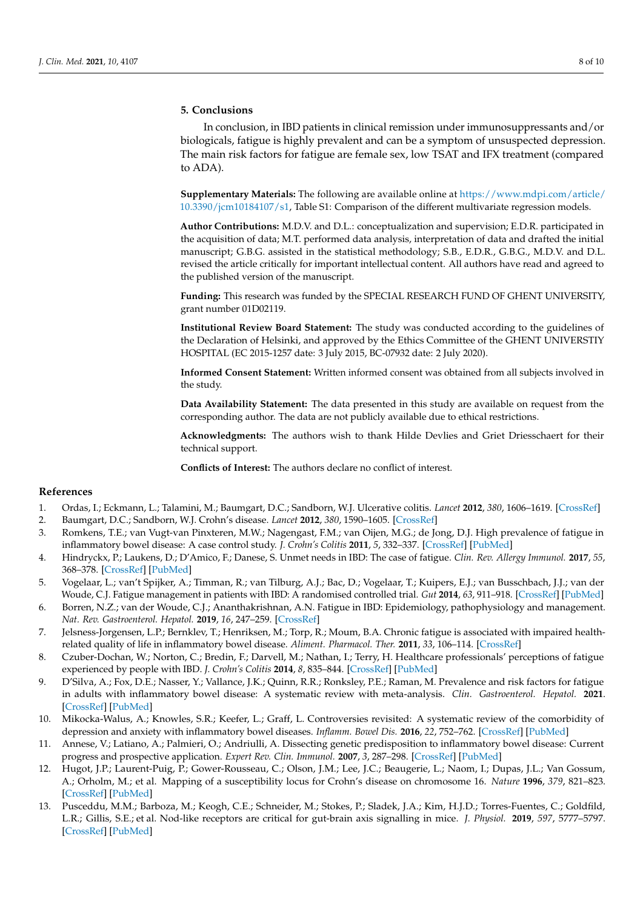## **5. Conclusions**

In conclusion, in IBD patients in clinical remission under immunosuppressants and/or biologicals, fatigue is highly prevalent and can be a symptom of unsuspected depression. The main risk factors for fatigue are female sex, low TSAT and IFX treatment (compared to ADA).

**Supplementary Materials:** The following are available online at [https://www.mdpi.com/article/](https://www.mdpi.com/article/10.3390/jcm10184107/s1) [10.3390/jcm10184107/s1,](https://www.mdpi.com/article/10.3390/jcm10184107/s1) Table S1: Comparison of the different multivariate regression models.

**Author Contributions:** M.D.V. and D.L.: conceptualization and supervision; E.D.R. participated in the acquisition of data; M.T. performed data analysis, interpretation of data and drafted the initial manuscript; G.B.G. assisted in the statistical methodology; S.B., E.D.R., G.B.G., M.D.V. and D.L. revised the article critically for important intellectual content. All authors have read and agreed to the published version of the manuscript.

**Funding:** This research was funded by the SPECIAL RESEARCH FUND OF GHENT UNIVERSITY, grant number 01D02119.

**Institutional Review Board Statement:** The study was conducted according to the guidelines of the Declaration of Helsinki, and approved by the Ethics Committee of the GHENT UNIVERSTIY HOSPITAL (EC 2015-1257 date: 3 July 2015, BC-07932 date: 2 July 2020).

**Informed Consent Statement:** Written informed consent was obtained from all subjects involved in the study.

**Data Availability Statement:** The data presented in this study are available on request from the corresponding author. The data are not publicly available due to ethical restrictions.

**Acknowledgments:** The authors wish to thank Hilde Devlies and Griet Driesschaert for their technical support.

**Conflicts of Interest:** The authors declare no conflict of interest.

## **References**

- <span id="page-7-0"></span>1. Ordas, I.; Eckmann, L.; Talamini, M.; Baumgart, D.C.; Sandborn, W.J. Ulcerative colitis. *Lancet* **2012**, *380*, 1606–1619. [\[CrossRef\]](http://doi.org/10.1016/S0140-6736(12)60150-0)
- 2. Baumgart, D.C.; Sandborn, W.J. Crohn's disease. *Lancet* **2012**, *380*, 1590–1605. [\[CrossRef\]](http://doi.org/10.1016/S0140-6736(12)60026-9)
- <span id="page-7-1"></span>3. Romkens, T.E.; van Vugt-van Pinxteren, M.W.; Nagengast, F.M.; van Oijen, M.G.; de Jong, D.J. High prevalence of fatigue in inflammatory bowel disease: A case control study. *J. Crohn's Colitis* **2011**, *5*, 332–337. [\[CrossRef\]](http://doi.org/10.1016/j.crohns.2011.02.008) [\[PubMed\]](http://www.ncbi.nlm.nih.gov/pubmed/21683303)
- <span id="page-7-2"></span>4. Hindryckx, P.; Laukens, D.; D'Amico, F.; Danese, S. Unmet needs in IBD: The case of fatigue. *Clin. Rev. Allergy Immunol.* **2017**, *55*, 368–378. [\[CrossRef\]](http://doi.org/10.1007/s12016-017-8641-4) [\[PubMed\]](http://www.ncbi.nlm.nih.gov/pubmed/28852978)
- 5. Vogelaar, L.; van't Spijker, A.; Timman, R.; van Tilburg, A.J.; Bac, D.; Vogelaar, T.; Kuipers, E.J.; van Busschbach, J.J.; van der Woude, C.J. Fatigue management in patients with IBD: A randomised controlled trial. *Gut* **2014**, *63*, 911–918. [\[CrossRef\]](http://doi.org/10.1136/gutjnl-2013-305191) [\[PubMed\]](http://www.ncbi.nlm.nih.gov/pubmed/23884638)
- <span id="page-7-6"></span>6. Borren, N.Z.; van der Woude, C.J.; Ananthakrishnan, A.N. Fatigue in IBD: Epidemiology, pathophysiology and management. *Nat. Rev. Gastroenterol. Hepatol.* **2019**, *16*, 247–259. [\[CrossRef\]](http://doi.org/10.1038/s41575-018-0091-9)
- <span id="page-7-10"></span>7. Jelsness-Jorgensen, L.P.; Bernklev, T.; Henriksen, M.; Torp, R.; Moum, B.A. Chronic fatigue is associated with impaired healthrelated quality of life in inflammatory bowel disease. *Aliment. Pharmacol. Ther.* **2011**, *33*, 106–114. [\[CrossRef\]](http://doi.org/10.1111/j.1365-2036.2010.04498.x)
- <span id="page-7-3"></span>8. Czuber-Dochan, W.; Norton, C.; Bredin, F.; Darvell, M.; Nathan, I.; Terry, H. Healthcare professionals' perceptions of fatigue experienced by people with IBD. *J. Crohn's Colitis* **2014**, *8*, 835–844. [\[CrossRef\]](http://doi.org/10.1016/j.crohns.2014.01.004) [\[PubMed\]](http://www.ncbi.nlm.nih.gov/pubmed/24491516)
- <span id="page-7-4"></span>9. D'Silva, A.; Fox, D.E.; Nasser, Y.; Vallance, J.K.; Quinn, R.R.; Ronksley, P.E.; Raman, M. Prevalence and risk factors for fatigue in adults with inflammatory bowel disease: A systematic review with meta-analysis. *Clin. Gastroenterol. Hepatol.* **2021**. [\[CrossRef\]](http://doi.org/10.1016/j.cgh.2021.06.034) [\[PubMed\]](http://www.ncbi.nlm.nih.gov/pubmed/34216824)
- <span id="page-7-5"></span>10. Mikocka-Walus, A.; Knowles, S.R.; Keefer, L.; Graff, L. Controversies revisited: A systematic review of the comorbidity of depression and anxiety with inflammatory bowel diseases. *Inflamm. Bowel Dis.* **2016**, *22*, 752–762. [\[CrossRef\]](http://doi.org/10.1097/MIB.0000000000000620) [\[PubMed\]](http://www.ncbi.nlm.nih.gov/pubmed/26841224)
- <span id="page-7-7"></span>11. Annese, V.; Latiano, A.; Palmieri, O.; Andriulli, A. Dissecting genetic predisposition to inflammatory bowel disease: Current progress and prospective application. *Expert Rev. Clin. Immunol.* **2007**, *3*, 287–298. [\[CrossRef\]](http://doi.org/10.1586/1744666X.3.3.287) [\[PubMed\]](http://www.ncbi.nlm.nih.gov/pubmed/20477673)
- <span id="page-7-8"></span>12. Hugot, J.P.; Laurent-Puig, P.; Gower-Rousseau, C.; Olson, J.M.; Lee, J.C.; Beaugerie, L.; Naom, I.; Dupas, J.L.; Van Gossum, A.; Orholm, M.; et al. Mapping of a susceptibility locus for Crohn's disease on chromosome 16. *Nature* **1996**, *379*, 821–823. [\[CrossRef\]](http://doi.org/10.1038/379821a0) [\[PubMed\]](http://www.ncbi.nlm.nih.gov/pubmed/8587604)
- <span id="page-7-9"></span>13. Pusceddu, M.M.; Barboza, M.; Keogh, C.E.; Schneider, M.; Stokes, P.; Sladek, J.A.; Kim, H.J.D.; Torres-Fuentes, C.; Goldfild, L.R.; Gillis, S.E.; et al. Nod-like receptors are critical for gut-brain axis signalling in mice. *J. Physiol.* **2019**, *597*, 5777–5797. [\[CrossRef\]](http://doi.org/10.1113/JP278640) [\[PubMed\]](http://www.ncbi.nlm.nih.gov/pubmed/31652348)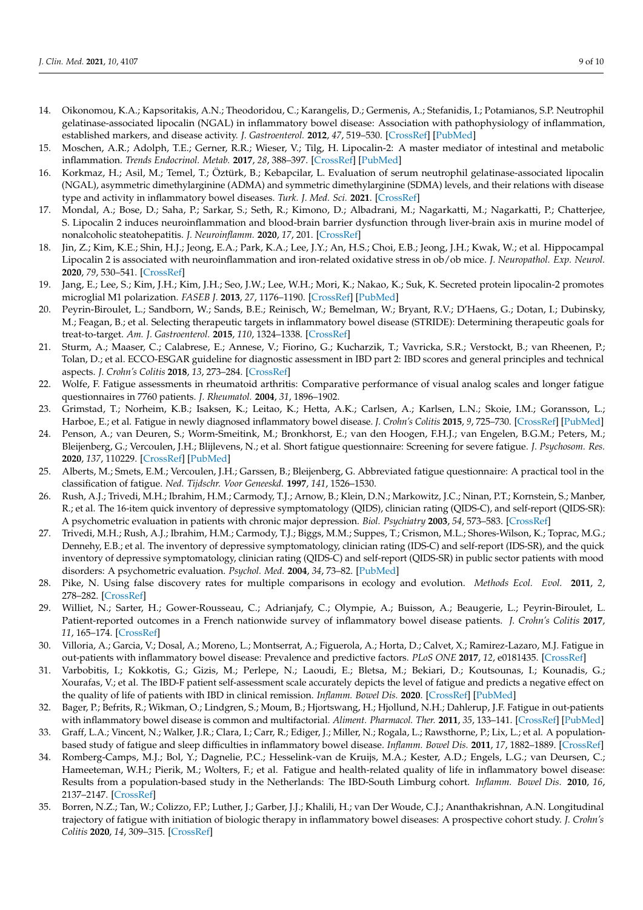- <span id="page-8-0"></span>14. Oikonomou, K.A.; Kapsoritakis, A.N.; Theodoridou, C.; Karangelis, D.; Germenis, A.; Stefanidis, I.; Potamianos, S.P. Neutrophil gelatinase-associated lipocalin (NGAL) in inflammatory bowel disease: Association with pathophysiology of inflammation, established markers, and disease activity. *J. Gastroenterol.* **2012**, *47*, 519–530. [\[CrossRef\]](http://doi.org/10.1007/s00535-011-0516-5) [\[PubMed\]](http://www.ncbi.nlm.nih.gov/pubmed/22200942)
- 15. Moschen, A.R.; Adolph, T.E.; Gerner, R.R.; Wieser, V.; Tilg, H. Lipocalin-2: A master mediator of intestinal and metabolic inflammation. *Trends Endocrinol. Metab.* **2017**, *28*, 388–397. [\[CrossRef\]](http://doi.org/10.1016/j.tem.2017.01.003) [\[PubMed\]](http://www.ncbi.nlm.nih.gov/pubmed/28214071)
- <span id="page-8-1"></span>16. Korkmaz, H.; Asil, M.; Temel, T.; Öztürk, B.; Kebapcilar, L. Evaluation of serum neutrophil gelatinase-associated lipocalin (NGAL), asymmetric dimethylarginine (ADMA) and symmetric dimethylarginine (SDMA) levels, and their relations with disease type and activity in inflammatory bowel diseases. *Turk. J. Med. Sci.* **2021**. [\[CrossRef\]](http://doi.org/10.3906/sag-2103-220)
- <span id="page-8-2"></span>17. Mondal, A.; Bose, D.; Saha, P.; Sarkar, S.; Seth, R.; Kimono, D.; Albadrani, M.; Nagarkatti, M.; Nagarkatti, P.; Chatterjee, S. Lipocalin 2 induces neuroinflammation and blood-brain barrier dysfunction through liver-brain axis in murine model of nonalcoholic steatohepatitis. *J. Neuroinflamm.* **2020**, *17*, 201. [\[CrossRef\]](http://doi.org/10.1186/s12974-020-01876-4)
- <span id="page-8-3"></span>18. Jin, Z.; Kim, K.E.; Shin, H.J.; Jeong, E.A.; Park, K.A.; Lee, J.Y.; An, H.S.; Choi, E.B.; Jeong, J.H.; Kwak, W.; et al. Hippocampal Lipocalin 2 is associated with neuroinflammation and iron-related oxidative stress in ob/ob mice. *J. Neuropathol. Exp. Neurol.* **2020**, *79*, 530–541. [\[CrossRef\]](http://doi.org/10.1093/jnen/nlaa017)
- <span id="page-8-4"></span>19. Jang, E.; Lee, S.; Kim, J.H.; Kim, J.H.; Seo, J.W.; Lee, W.H.; Mori, K.; Nakao, K.; Suk, K. Secreted protein lipocalin-2 promotes microglial M1 polarization. *FASEB J.* **2013**, *27*, 1176–1190. [\[CrossRef\]](http://doi.org/10.1096/fj.12-222257) [\[PubMed\]](http://www.ncbi.nlm.nih.gov/pubmed/23207546)
- <span id="page-8-5"></span>20. Peyrin-Biroulet, L.; Sandborn, W.; Sands, B.E.; Reinisch, W.; Bemelman, W.; Bryant, R.V.; D'Haens, G.; Dotan, I.; Dubinsky, M.; Feagan, B.; et al. Selecting therapeutic targets in inflammatory bowel disease (STRIDE): Determining therapeutic goals for treat-to-target. *Am. J. Gastroenterol.* **2015**, *110*, 1324–1338. [\[CrossRef\]](http://doi.org/10.1038/ajg.2015.233)
- <span id="page-8-6"></span>21. Sturm, A.; Maaser, C.; Calabrese, E.; Annese, V.; Fiorino, G.; Kucharzik, T.; Vavricka, S.R.; Verstockt, B.; van Rheenen, P.; Tolan, D.; et al. ECCO-ESGAR guideline for diagnostic assessment in IBD part 2: IBD scores and general principles and technical aspects. *J. Crohn's Colitis* **2018**, *13*, 273–284. [\[CrossRef\]](http://doi.org/10.1093/ecco-jcc/jjy114)
- <span id="page-8-7"></span>22. Wolfe, F. Fatigue assessments in rheumatoid arthritis: Comparative performance of visual analog scales and longer fatigue questionnaires in 7760 patients. *J. Rheumatol.* **2004**, *31*, 1896–1902.
- <span id="page-8-8"></span>23. Grimstad, T.; Norheim, K.B.; Isaksen, K.; Leitao, K.; Hetta, A.K.; Carlsen, A.; Karlsen, L.N.; Skoie, I.M.; Goransson, L.; Harboe, E.; et al. Fatigue in newly diagnosed inflammatory bowel disease. *J. Crohn's Colitis* **2015**, *9*, 725–730. [\[CrossRef\]](http://doi.org/10.1093/ecco-jcc/jjv091) [\[PubMed\]](http://www.ncbi.nlm.nih.gov/pubmed/25994356)
- <span id="page-8-9"></span>24. Penson, A.; van Deuren, S.; Worm-Smeitink, M.; Bronkhorst, E.; van den Hoogen, F.H.J.; van Engelen, B.G.M.; Peters, M.; Bleijenberg, G.; Vercoulen, J.H.; Blijlevens, N.; et al. Short fatigue questionnaire: Screening for severe fatigue. *J. Psychosom. Res.* **2020**, *137*, 110229. [\[CrossRef\]](http://doi.org/10.1016/j.jpsychores.2020.110229) [\[PubMed\]](http://www.ncbi.nlm.nih.gov/pubmed/32890861)
- <span id="page-8-10"></span>25. Alberts, M.; Smets, E.M.; Vercoulen, J.H.; Garssen, B.; Bleijenberg, G. Abbreviated fatigue questionnaire: A practical tool in the classification of fatigue. *Ned. Tijdschr. Voor Geneeskd.* **1997**, *141*, 1526–1530.
- <span id="page-8-11"></span>26. Rush, A.J.; Trivedi, M.H.; Ibrahim, H.M.; Carmody, T.J.; Arnow, B.; Klein, D.N.; Markowitz, J.C.; Ninan, P.T.; Kornstein, S.; Manber, R.; et al. The 16-item quick inventory of depressive symptomatology (QIDS), clinician rating (QIDS-C), and self-report (QIDS-SR): A psychometric evaluation in patients with chronic major depression. *Biol. Psychiatry* **2003**, *54*, 573–583. [\[CrossRef\]](http://doi.org/10.1016/S0006-3223(02)01866-8)
- <span id="page-8-12"></span>27. Trivedi, M.H.; Rush, A.J.; Ibrahim, H.M.; Carmody, T.J.; Biggs, M.M.; Suppes, T.; Crismon, M.L.; Shores-Wilson, K.; Toprac, M.G.; Dennehy, E.B.; et al. The inventory of depressive symptomatology, clinician rating (IDS-C) and self-report (IDS-SR), and the quick inventory of depressive symptomatology, clinician rating (QIDS-C) and self-report (QIDS-SR) in public sector patients with mood disorders: A psychometric evaluation. *Psychol. Med.* **2004**, *34*, 73–82. [\[PubMed\]](http://www.ncbi.nlm.nih.gov/pubmed/14971628)
- <span id="page-8-13"></span>28. Pike, N. Using false discovery rates for multiple comparisons in ecology and evolution. *Methods Ecol. Evol.* **2011**, *2*, 278–282. [\[CrossRef\]](http://doi.org/10.1111/j.2041-210X.2010.00061.x)
- <span id="page-8-14"></span>29. Williet, N.; Sarter, H.; Gower-Rousseau, C.; Adrianjafy, C.; Olympie, A.; Buisson, A.; Beaugerie, L.; Peyrin-Biroulet, L. Patient-reported outcomes in a French nationwide survey of inflammatory bowel disease patients. *J. Crohn's Colitis* **2017**, *11*, 165–174. [\[CrossRef\]](http://doi.org/10.1093/ecco-jcc/jjw145)
- <span id="page-8-15"></span>30. Villoria, A.; Garcia, V.; Dosal, A.; Moreno, L.; Montserrat, A.; Figuerola, A.; Horta, D.; Calvet, X.; Ramirez-Lazaro, M.J. Fatigue in out-patients with inflammatory bowel disease: Prevalence and predictive factors. *PLoS ONE* **2017**, *12*, e0181435. [\[CrossRef\]](http://doi.org/10.1371/journal.pone.0181435)
- <span id="page-8-16"></span>31. Varbobitis, I.; Kokkotis, G.; Gizis, M.; Perlepe, N.; Laoudi, E.; Bletsa, M.; Bekiari, D.; Koutsounas, I.; Kounadis, G.; Xourafas, V.; et al. The IBD-F patient self-assessment scale accurately depicts the level of fatigue and predicts a negative effect on the quality of life of patients with IBD in clinical remission. *Inflamm. Bowel Dis.* **2020**. [\[CrossRef\]](http://doi.org/10.1093/ibd/izaa201) [\[PubMed\]](http://www.ncbi.nlm.nih.gov/pubmed/32766770)
- <span id="page-8-17"></span>32. Bager, P.; Befrits, R.; Wikman, O.; Lindgren, S.; Moum, B.; Hjortswang, H.; Hjollund, N.H.; Dahlerup, J.F. Fatigue in out-patients with inflammatory bowel disease is common and multifactorial. *Aliment. Pharmacol. Ther.* **2011**, *35*, 133–141. [\[CrossRef\]](http://doi.org/10.1111/j.1365-2036.2011.04914.x) [\[PubMed\]](http://www.ncbi.nlm.nih.gov/pubmed/22059387)
- <span id="page-8-18"></span>33. Graff, L.A.; Vincent, N.; Walker, J.R.; Clara, I.; Carr, R.; Ediger, J.; Miller, N.; Rogala, L.; Rawsthorne, P.; Lix, L.; et al. A populationbased study of fatigue and sleep difficulties in inflammatory bowel disease. *Inflamm. Bowel Dis.* **2011**, *17*, 1882–1889. [\[CrossRef\]](http://doi.org/10.1002/ibd.21580)
- <span id="page-8-19"></span>34. Romberg-Camps, M.J.; Bol, Y.; Dagnelie, P.C.; Hesselink-van de Kruijs, M.A.; Kester, A.D.; Engels, L.G.; van Deursen, C.; Hameeteman, W.H.; Pierik, M.; Wolters, F.; et al. Fatigue and health-related quality of life in inflammatory bowel disease: Results from a population-based study in the Netherlands: The IBD-South Limburg cohort. *Inflamm. Bowel Dis.* **2010**, *16*, 2137–2147. [\[CrossRef\]](http://doi.org/10.1002/ibd.21285)
- <span id="page-8-20"></span>35. Borren, N.Z.; Tan, W.; Colizzo, F.P.; Luther, J.; Garber, J.J.; Khalili, H.; van Der Woude, C.J.; Ananthakrishnan, A.N. Longitudinal trajectory of fatigue with initiation of biologic therapy in inflammatory bowel diseases: A prospective cohort study. *J. Crohn's Colitis* **2020**, *14*, 309–315. [\[CrossRef\]](http://doi.org/10.1093/ecco-jcc/jjz148)